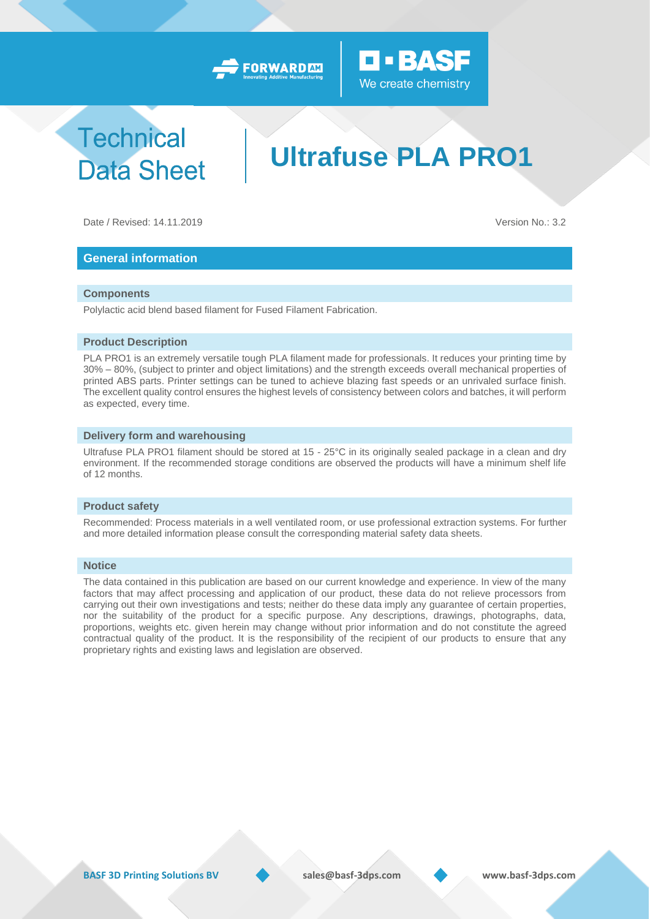



# **Technical Data Sheet**

# **Ultrafuse PLA PRO1**

Date / Revised: 14.11.2019 Version No.: 3.2

## **General information**

#### **Components**

Polylactic acid blend based filament for Fused Filament Fabrication.

#### **Product Description**

PLA PRO1 is an extremely versatile tough PLA filament made for professionals. It reduces your printing time by 30% – 80%, (subject to printer and object limitations) and the strength exceeds overall mechanical properties of printed ABS parts. Printer settings can be tuned to achieve blazing fast speeds or an unrivaled surface finish. The excellent quality control ensures the highest levels of consistency between colors and batches, it will perform as expected, every time.

#### **Delivery form and warehousing**

Ultrafuse PLA PRO1 filament should be stored at 15 - 25°C in its originally sealed package in a clean and dry environment. If the recommended storage conditions are observed the products will have a minimum shelf life of 12 months.

#### **Product safety**

Recommended: Process materials in a well ventilated room, or use professional extraction systems. For further and more detailed information please consult the corresponding material safety data sheets.

#### **Notice**

The data contained in this publication are based on our current knowledge and experience. In view of the many factors that may affect processing and application of our product, these data do not relieve processors from carrying out their own investigations and tests; neither do these data imply any guarantee of certain properties, nor the suitability of the product for a specific purpose. Any descriptions, drawings, photographs, data, proportions, weights etc. given herein may change without prior information and do not constitute the agreed contractual quality of the product. It is the responsibility of the recipient of our products to ensure that any proprietary rights and existing laws and legislation are observed.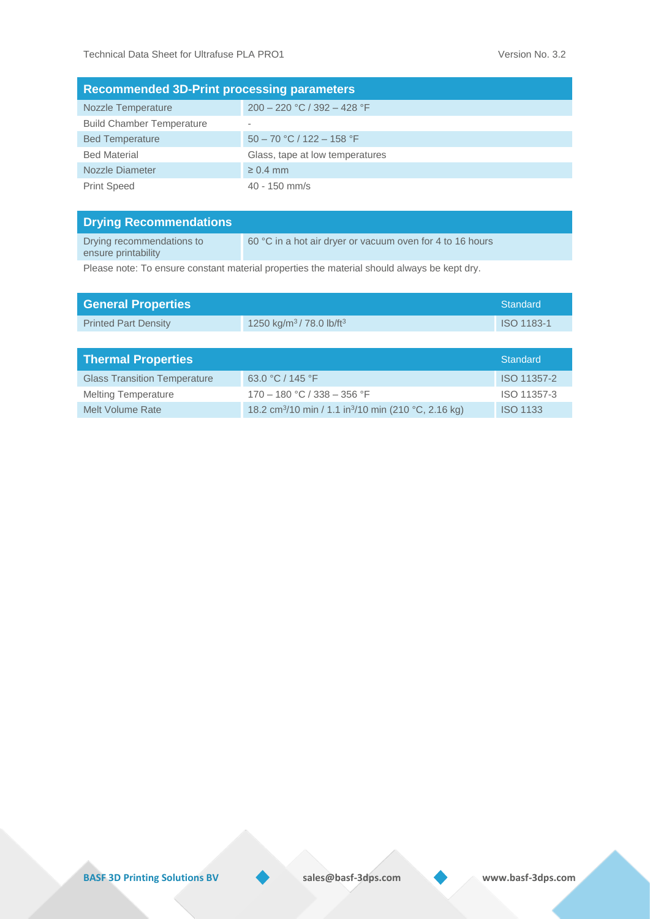| <b>Recommended 3D-Print processing parameters</b> |                                 |  |  |  |
|---------------------------------------------------|---------------------------------|--|--|--|
| <b>Nozzle Temperature</b>                         | $200 - 220$ °C / 392 - 428 °F   |  |  |  |
| <b>Build Chamber Temperature</b>                  | $\overline{\phantom{a}}$        |  |  |  |
| <b>Bed Temperature</b>                            | $50 - 70$ °C / 122 - 158 °F     |  |  |  |
| <b>Bed Material</b>                               | Glass, tape at low temperatures |  |  |  |
| Nozzle Diameter                                   | $\geq 0.4$ mm                   |  |  |  |
| <b>Print Speed</b>                                | 40 - 150 mm/s                   |  |  |  |

| <b>Drying Recommendations</b>                    |                                                           |
|--------------------------------------------------|-----------------------------------------------------------|
| Drying recommendations to<br>ensure printability | 60 °C in a hot air dryer or vacuum oven for 4 to 16 hours |

Please note: To ensure constant material properties the material should always be kept dry.

| <b>General Properties</b>           |                                                 | <b>Standard</b> |
|-------------------------------------|-------------------------------------------------|-----------------|
| <b>Printed Part Density</b>         | 1250 kg/m <sup>3</sup> /78.0 lb/ft <sup>3</sup> | ISO 1183-1      |
|                                     |                                                 |                 |
| <b>Thermal Properties</b>           |                                                 | <b>Standard</b> |
|                                     |                                                 |                 |
| <b>Glass Transition Temperature</b> | 63.0 °C / 145 °F                                | ISO 11357-2     |
| <b>Melting Temperature</b>          | $170 - 180$ °C / 338 - 356 °F                   | ISO 11357-3     |

**BASF 3D Printing Solutions BV** sales@basf-3dps.com www.basf-3dps.com